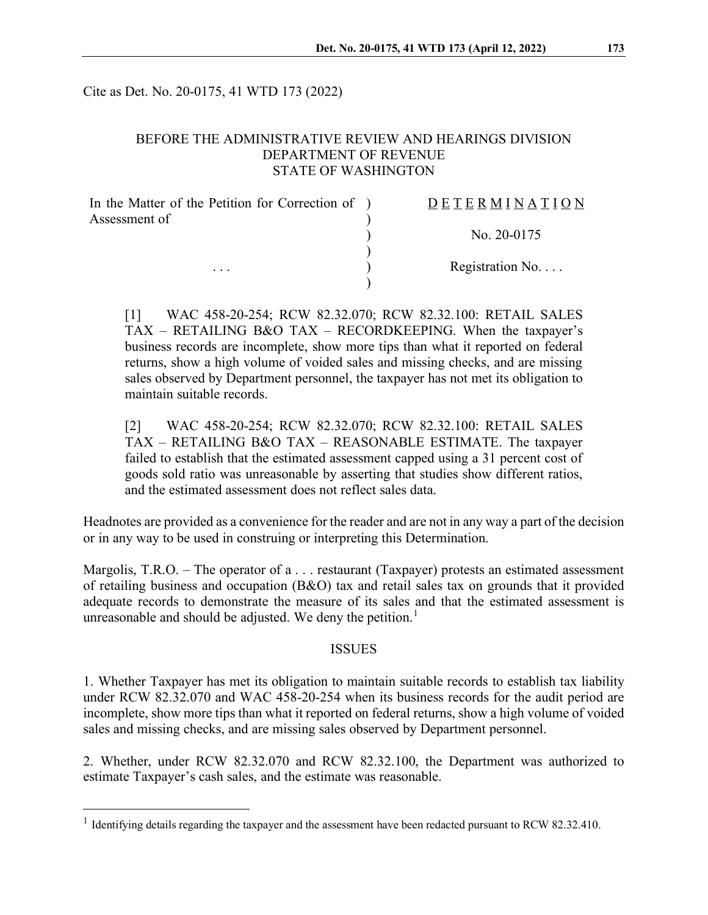Cite as Det. No. 20-0175, 41 WTD 173 (2022)

## BEFORE THE ADMINISTRATIVE REVIEW AND HEARINGS DIVISION DEPARTMENT OF REVENUE STATE OF WASHINGTON

| In the Matter of the Petition for Correction of ) | DETERMINATION   |
|---------------------------------------------------|-----------------|
| Assessment of                                     |                 |
|                                                   | No. $20-0175$   |
| $\cdots$                                          | Registration No |
|                                                   |                 |

[1] WAC 458-20-254; RCW 82.32.070; RCW 82.32.100: RETAIL SALES TAX – RETAILING B&O TAX – RECORDKEEPING. When the taxpayer's business records are incomplete, show more tips than what it reported on federal returns, show a high volume of voided sales and missing checks, and are missing sales observed by Department personnel, the taxpayer has not met its obligation to maintain suitable records.

[2] WAC 458-20-254; RCW 82.32.070; RCW 82.32.100: RETAIL SALES TAX – RETAILING B&O TAX – REASONABLE ESTIMATE. The taxpayer failed to establish that the estimated assessment capped using a 31 percent cost of goods sold ratio was unreasonable by asserting that studies show different ratios, and the estimated assessment does not reflect sales data.

Headnotes are provided as a convenience for the reader and are not in any way a part of the decision or in any way to be used in construing or interpreting this Determination.

Margolis, T.R.O. – The operator of a . . . restaurant (Taxpayer) protests an estimated assessment of retailing business and occupation (B&O) tax and retail sales tax on grounds that it provided adequate records to demonstrate the measure of its sales and that the estimated assessment is unreasonable and should be adjusted. We deny the petition.<sup>[1](#page-0-0)</sup>

#### ISSUES

1. Whether Taxpayer has met its obligation to maintain suitable records to establish tax liability under RCW 82.32.070 and WAC 458-20-254 when its business records for the audit period are incomplete, show more tips than what it reported on federal returns, show a high volume of voided sales and missing checks, and are missing sales observed by Department personnel.

2. Whether, under RCW 82.32.070 and RCW 82.32.100, the Department was authorized to estimate Taxpayer's cash sales, and the estimate was reasonable.

<span id="page-0-0"></span><sup>&</sup>lt;sup>1</sup> Identifying details regarding the taxpayer and the assessment have been redacted pursuant to RCW 82.32.410.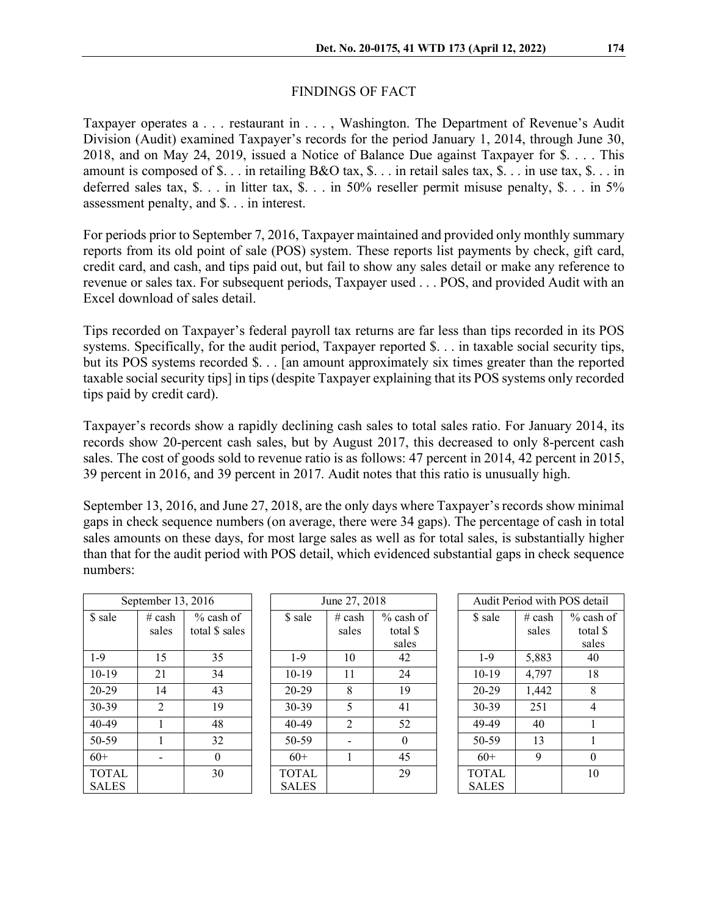## FINDINGS OF FACT

Taxpayer operates a . . . restaurant in . . . , Washington. The Department of Revenue's Audit Division (Audit) examined Taxpayer's records for the period January 1, 2014, through June 30, 2018, and on May 24, 2019, issued a Notice of Balance Due against Taxpayer for \$. . . . This amount is composed of \$. . . in retailing B&O tax, \$. . . in retail sales tax, \$. . . in use tax, \$. . . in deferred sales tax, \$. . . in litter tax, \$. . . in 50% reseller permit misuse penalty, \$. . . in 5% assessment penalty, and \$. . . in interest.

For periods prior to September 7, 2016, Taxpayer maintained and provided only monthly summary reports from its old point of sale (POS) system. These reports list payments by check, gift card, credit card, and cash, and tips paid out, but fail to show any sales detail or make any reference to revenue or sales tax. For subsequent periods, Taxpayer used . . . POS, and provided Audit with an Excel download of sales detail.

Tips recorded on Taxpayer's federal payroll tax returns are far less than tips recorded in its POS systems. Specifically, for the audit period, Taxpayer reported \$. . . in taxable social security tips, but its POS systems recorded \$. . . [an amount approximately six times greater than the reported taxable social security tips] in tips (despite Taxpayer explaining that its POS systems only recorded tips paid by credit card).

Taxpayer's records show a rapidly declining cash sales to total sales ratio. For January 2014, its records show 20-percent cash sales, but by August 2017, this decreased to only 8-percent cash sales. The cost of goods sold to revenue ratio is as follows: 47 percent in 2014, 42 percent in 2015, 39 percent in 2016, and 39 percent in 2017. Audit notes that this ratio is unusually high.

September 13, 2016, and June 27, 2018, are the only days where Taxpayer's records show minimal gaps in check sequence numbers (on average, there were 34 gaps). The percentage of cash in total sales amounts on these days, for most large sales as well as for total sales, is substantially higher than that for the audit period with POS detail, which evidenced substantial gaps in check sequence numbers:

|                              | September 13, 2016<br>June 27, 2018 |                               | Audit Period with POS detail |                   |                                  |                              |                   |                               |
|------------------------------|-------------------------------------|-------------------------------|------------------------------|-------------------|----------------------------------|------------------------------|-------------------|-------------------------------|
| \$ sale                      | $#$ cash<br>sales                   | $%$ cash of<br>total \$ sales | \$ sale                      | # $cash$<br>sales | $%$ cash of<br>total \$<br>sales | \$ sale                      | $#$ cash<br>sales | $%$ cash<br>total \$<br>sales |
| $1-9$                        | 15                                  | 35                            | $1-9$                        | 10                | 42                               | $1-9$                        | 5,883             | 40                            |
| $10-19$                      | 21                                  | 34                            | $10-19$                      | 11                | 24                               | $10-19$                      | 4,797             | 18                            |
| $20 - 29$                    | 14                                  | 43                            | $20 - 29$                    | 8                 | 19                               | $20 - 29$                    | 1,442             | 8                             |
| $30-39$                      | $\overline{2}$                      | 19                            | $30 - 39$                    | 5                 | 41                               | $30 - 39$                    | 251               | $\overline{4}$                |
| $40 - 49$                    |                                     | 48                            | 40-49                        | 2                 | 52                               | 49-49                        | 40                |                               |
| 50-59                        |                                     | 32                            | 50-59                        |                   | $\Omega$                         | 50-59                        | 13                |                               |
| $60+$                        |                                     | $\Omega$                      | $60+$                        |                   | 45                               | $60+$                        | 9                 | $\theta$                      |
| <b>TOTAL</b><br><b>SALES</b> |                                     | 30                            | <b>TOTAL</b><br><b>SALES</b> |                   | 29                               | <b>TOTAL</b><br><b>SALES</b> |                   | 10                            |

|          | Audit Period with POS detail |          |              |  |  |  |  |  |
|----------|------------------------------|----------|--------------|--|--|--|--|--|
| ash of   | \$ sale                      | $#$ cash | $\%$ cash of |  |  |  |  |  |
| tal \$   |                              | sales    | total \$     |  |  |  |  |  |
| ales     |                              |          | sales        |  |  |  |  |  |
| 42       | $1 - 9$                      | 5,883    | 40           |  |  |  |  |  |
| 24       | $10-19$                      | 4,797    | 18           |  |  |  |  |  |
| 19       | 20-29                        | 1,442    | 8            |  |  |  |  |  |
| 41       | 30-39                        | 251      | 4            |  |  |  |  |  |
| 52       | 49-49                        | 40       | 1            |  |  |  |  |  |
| $\Omega$ | 50-59                        | 13       |              |  |  |  |  |  |
| 45       | $60+$                        | 9        | 0            |  |  |  |  |  |
| 29       | <b>TOTAL</b>                 |          | 10           |  |  |  |  |  |
|          | <b>SALES</b>                 |          |              |  |  |  |  |  |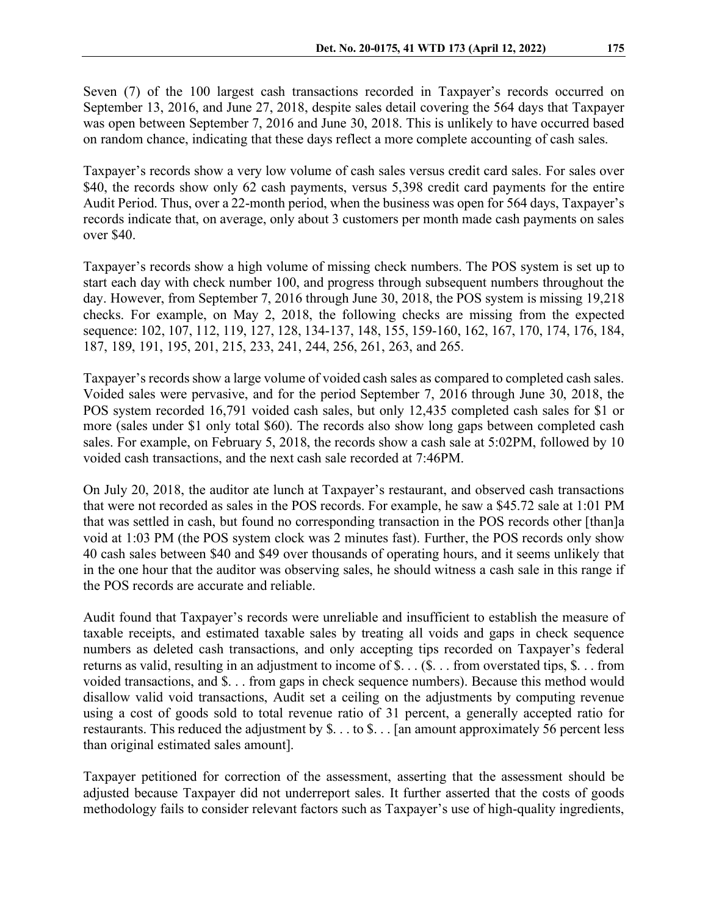Seven (7) of the 100 largest cash transactions recorded in Taxpayer's records occurred on September 13, 2016, and June 27, 2018, despite sales detail covering the 564 days that Taxpayer was open between September 7, 2016 and June 30, 2018. This is unlikely to have occurred based on random chance, indicating that these days reflect a more complete accounting of cash sales.

Taxpayer's records show a very low volume of cash sales versus credit card sales. For sales over \$40, the records show only 62 cash payments, versus 5,398 credit card payments for the entire Audit Period. Thus, over a 22-month period, when the business was open for 564 days, Taxpayer's records indicate that, on average, only about 3 customers per month made cash payments on sales over \$40.

Taxpayer's records show a high volume of missing check numbers. The POS system is set up to start each day with check number 100, and progress through subsequent numbers throughout the day. However, from September 7, 2016 through June 30, 2018, the POS system is missing 19,218 checks. For example, on May 2, 2018, the following checks are missing from the expected sequence: 102, 107, 112, 119, 127, 128, 134-137, 148, 155, 159-160, 162, 167, 170, 174, 176, 184, 187, 189, 191, 195, 201, 215, 233, 241, 244, 256, 261, 263, and 265.

Taxpayer's records show a large volume of voided cash sales as compared to completed cash sales. Voided sales were pervasive, and for the period September 7, 2016 through June 30, 2018, the POS system recorded 16,791 voided cash sales, but only 12,435 completed cash sales for \$1 or more (sales under \$1 only total \$60). The records also show long gaps between completed cash sales. For example, on February 5, 2018, the records show a cash sale at 5:02PM, followed by 10 voided cash transactions, and the next cash sale recorded at 7:46PM.

On July 20, 2018, the auditor ate lunch at Taxpayer's restaurant, and observed cash transactions that were not recorded as sales in the POS records. For example, he saw a \$45.72 sale at 1:01 PM that was settled in cash, but found no corresponding transaction in the POS records other [than]a void at 1:03 PM (the POS system clock was 2 minutes fast). Further, the POS records only show 40 cash sales between \$40 and \$49 over thousands of operating hours, and it seems unlikely that in the one hour that the auditor was observing sales, he should witness a cash sale in this range if the POS records are accurate and reliable.

Audit found that Taxpayer's records were unreliable and insufficient to establish the measure of taxable receipts, and estimated taxable sales by treating all voids and gaps in check sequence numbers as deleted cash transactions, and only accepting tips recorded on Taxpayer's federal returns as valid, resulting in an adjustment to income of \$. . . (\$. . . from overstated tips, \$. . . from voided transactions, and \$. . . from gaps in check sequence numbers). Because this method would disallow valid void transactions, Audit set a ceiling on the adjustments by computing revenue using a cost of goods sold to total revenue ratio of 31 percent, a generally accepted ratio for restaurants. This reduced the adjustment by \$. . . to \$. . . [an amount approximately 56 percent less than original estimated sales amount].

Taxpayer petitioned for correction of the assessment, asserting that the assessment should be adjusted because Taxpayer did not underreport sales. It further asserted that the costs of goods methodology fails to consider relevant factors such as Taxpayer's use of high-quality ingredients,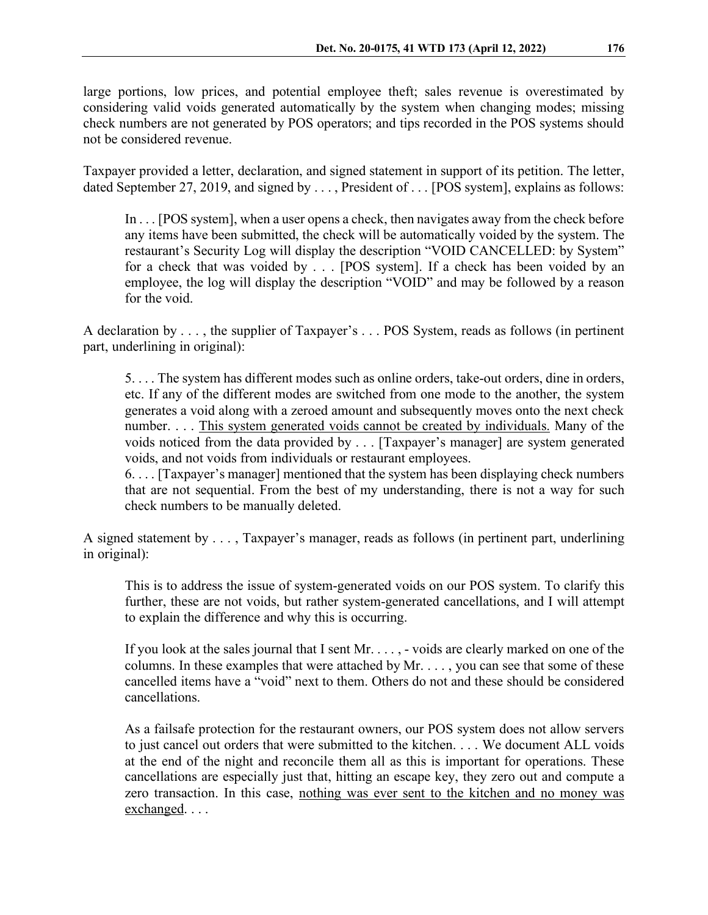large portions, low prices, and potential employee theft; sales revenue is overestimated by considering valid voids generated automatically by the system when changing modes; missing check numbers are not generated by POS operators; and tips recorded in the POS systems should not be considered revenue.

Taxpayer provided a letter, declaration, and signed statement in support of its petition. The letter, dated September 27, 2019, and signed by . . . , President of . . . [POS system], explains as follows:

In . . . [POS system], when a user opens a check, then navigates away from the check before any items have been submitted, the check will be automatically voided by the system. The restaurant's Security Log will display the description "VOID CANCELLED: by System" for a check that was voided by . . . [POS system]. If a check has been voided by an employee, the log will display the description "VOID" and may be followed by a reason for the void.

A declaration by . . . , the supplier of Taxpayer's . . . POS System, reads as follows (in pertinent part, underlining in original):

5. . . . The system has different modes such as online orders, take-out orders, dine in orders, etc. If any of the different modes are switched from one mode to the another, the system generates a void along with a zeroed amount and subsequently moves onto the next check number. . . . This system generated voids cannot be created by individuals. Many of the voids noticed from the data provided by . . . [Taxpayer's manager] are system generated voids, and not voids from individuals or restaurant employees.

6. . . . [Taxpayer's manager] mentioned that the system has been displaying check numbers that are not sequential. From the best of my understanding, there is not a way for such check numbers to be manually deleted.

A signed statement by . . . , Taxpayer's manager, reads as follows (in pertinent part, underlining in original):

This is to address the issue of system-generated voids on our POS system. To clarify this further, these are not voids, but rather system-generated cancellations, and I will attempt to explain the difference and why this is occurring.

If you look at the sales journal that I sent Mr. . . . , - voids are clearly marked on one of the columns. In these examples that were attached by Mr. . . . , you can see that some of these cancelled items have a "void" next to them. Others do not and these should be considered cancellations.

As a failsafe protection for the restaurant owners, our POS system does not allow servers to just cancel out orders that were submitted to the kitchen. . . . We document ALL voids at the end of the night and reconcile them all as this is important for operations. These cancellations are especially just that, hitting an escape key, they zero out and compute a zero transaction. In this case, nothing was ever sent to the kitchen and no money was exchanged. . . .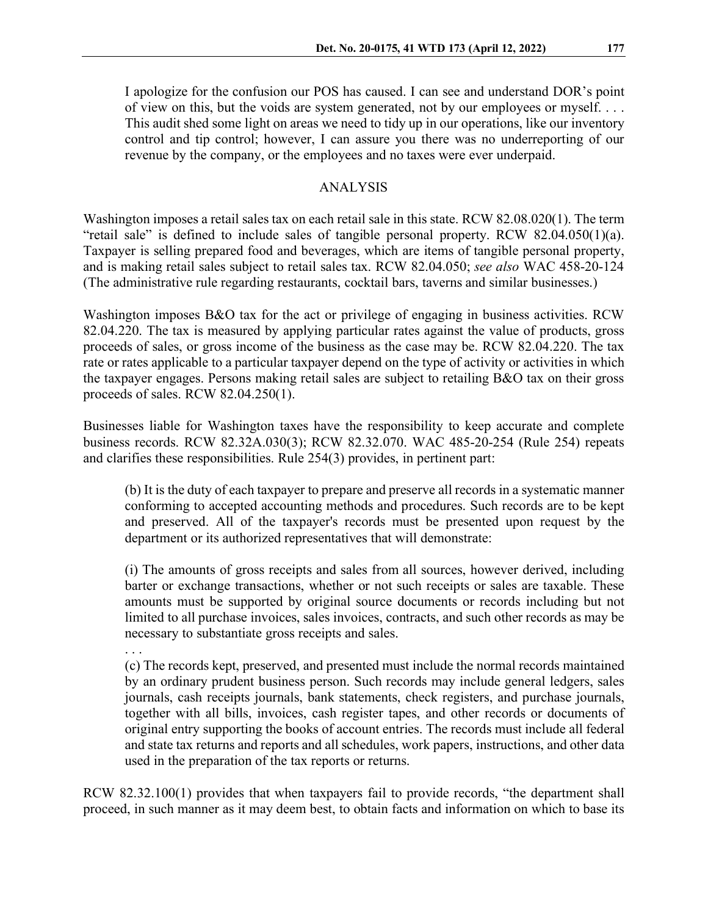I apologize for the confusion our POS has caused. I can see and understand DOR's point of view on this, but the voids are system generated, not by our employees or myself. . . . This audit shed some light on areas we need to tidy up in our operations, like our inventory control and tip control; however, I can assure you there was no underreporting of our revenue by the company, or the employees and no taxes were ever underpaid.

## ANALYSIS

Washington imposes a retail sales tax on each retail sale in this state. RCW 82.08.020(1). The term "retail sale" is defined to include sales of tangible personal property. RCW 82.04.050(1)(a). Taxpayer is selling prepared food and beverages, which are items of tangible personal property, and is making retail sales subject to retail sales tax. RCW 82.04.050; *see also* WAC 458-20-124 (The administrative rule regarding restaurants, cocktail bars, taverns and similar businesses.)

Washington imposes B&O tax for the act or privilege of engaging in business activities. RCW 82.04.220. The tax is measured by applying particular rates against the value of products, gross proceeds of sales, or gross income of the business as the case may be. RCW 82.04.220. The tax rate or rates applicable to a particular taxpayer depend on the type of activity or activities in which the taxpayer engages. Persons making retail sales are subject to retailing B&O tax on their gross proceeds of sales. RCW 82.04.250(1).

Businesses liable for Washington taxes have the responsibility to keep accurate and complete business records. RCW 82.32A.030(3); RCW 82.32.070. WAC 485-20-254 (Rule 254) repeats and clarifies these responsibilities. Rule 254(3) provides, in pertinent part:

(b) It is the duty of each taxpayer to prepare and preserve all records in a systematic manner conforming to accepted accounting methods and procedures. Such records are to be kept and preserved. All of the taxpayer's records must be presented upon request by the department or its authorized representatives that will demonstrate:

(i) The amounts of gross receipts and sales from all sources, however derived, including barter or exchange transactions, whether or not such receipts or sales are taxable. These amounts must be supported by original source documents or records including but not limited to all purchase invoices, sales invoices, contracts, and such other records as may be necessary to substantiate gross receipts and sales.

. . .

(c) The records kept, preserved, and presented must include the normal records maintained by an ordinary prudent business person. Such records may include general ledgers, sales journals, cash receipts journals, bank statements, check registers, and purchase journals, together with all bills, invoices, cash register tapes, and other records or documents of original entry supporting the books of account entries. The records must include all federal and state tax returns and reports and all schedules, work papers, instructions, and other data used in the preparation of the tax reports or returns.

RCW 82.32.100(1) provides that when taxpayers fail to provide records, "the department shall proceed, in such manner as it may deem best, to obtain facts and information on which to base its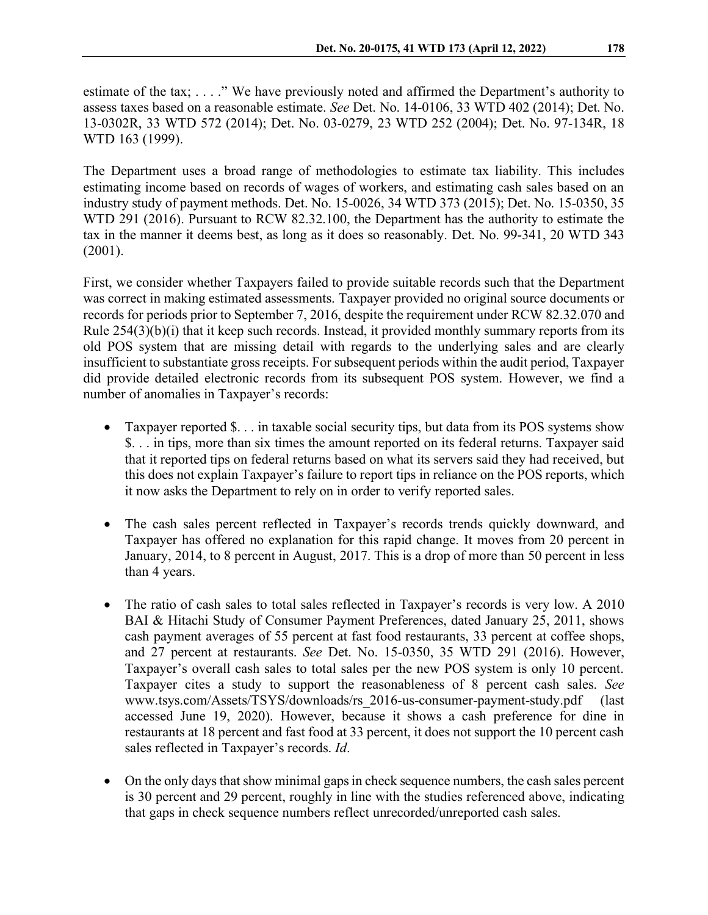estimate of the tax; . . . ." We have previously noted and affirmed the Department's authority to assess taxes based on a reasonable estimate. *See* Det. No. 14-0106, 33 WTD 402 (2014); Det. No. 13-0302R, 33 WTD 572 (2014); Det. No. 03-0279, 23 WTD 252 (2004); Det. No. 97-134R, 18 WTD 163 (1999).

The Department uses a broad range of methodologies to estimate tax liability. This includes estimating income based on records of wages of workers, and estimating cash sales based on an industry study of payment methods. Det. No. 15-0026, 34 WTD 373 (2015); Det. No. 15-0350, 35 WTD 291 (2016). Pursuant to RCW 82.32.100, the Department has the authority to estimate the tax in the manner it deems best, as long as it does so reasonably. Det. No. 99-341, 20 WTD 343 (2001).

First, we consider whether Taxpayers failed to provide suitable records such that the Department was correct in making estimated assessments. Taxpayer provided no original source documents or records for periods prior to September 7, 2016, despite the requirement under RCW 82.32.070 and Rule 254(3)(b)(i) that it keep such records. Instead, it provided monthly summary reports from its old POS system that are missing detail with regards to the underlying sales and are clearly insufficient to substantiate gross receipts. For subsequent periods within the audit period, Taxpayer did provide detailed electronic records from its subsequent POS system. However, we find a number of anomalies in Taxpayer's records:

- Taxpayer reported \$... in taxable social security tips, but data from its POS systems show \$. . . in tips, more than six times the amount reported on its federal returns. Taxpayer said that it reported tips on federal returns based on what its servers said they had received, but this does not explain Taxpayer's failure to report tips in reliance on the POS reports, which it now asks the Department to rely on in order to verify reported sales.
- The cash sales percent reflected in Taxpayer's records trends quickly downward, and Taxpayer has offered no explanation for this rapid change. It moves from 20 percent in January, 2014, to 8 percent in August, 2017. This is a drop of more than 50 percent in less than 4 years.
- The ratio of cash sales to total sales reflected in Taxpayer's records is very low. A 2010 BAI & Hitachi Study of Consumer Payment Preferences, dated January 25, 2011, shows cash payment averages of 55 percent at fast food restaurants, 33 percent at coffee shops, and 27 percent at restaurants. *See* Det. No. 15-0350, 35 WTD 291 (2016). However, Taxpayer's overall cash sales to total sales per the new POS system is only 10 percent. Taxpayer cites a study to support the reasonableness of 8 percent cash sales. *See* www.tsys.com/Assets/TSYS/downloads/rs\_2016-us-consumer-payment-study.pdf (last accessed June 19, 2020). However, because it shows a cash preference for dine in restaurants at 18 percent and fast food at 33 percent, it does not support the 10 percent cash sales reflected in Taxpayer's records. *Id*.
- On the only days that show minimal gaps in check sequence numbers, the cash sales percent is 30 percent and 29 percent, roughly in line with the studies referenced above, indicating that gaps in check sequence numbers reflect unrecorded/unreported cash sales.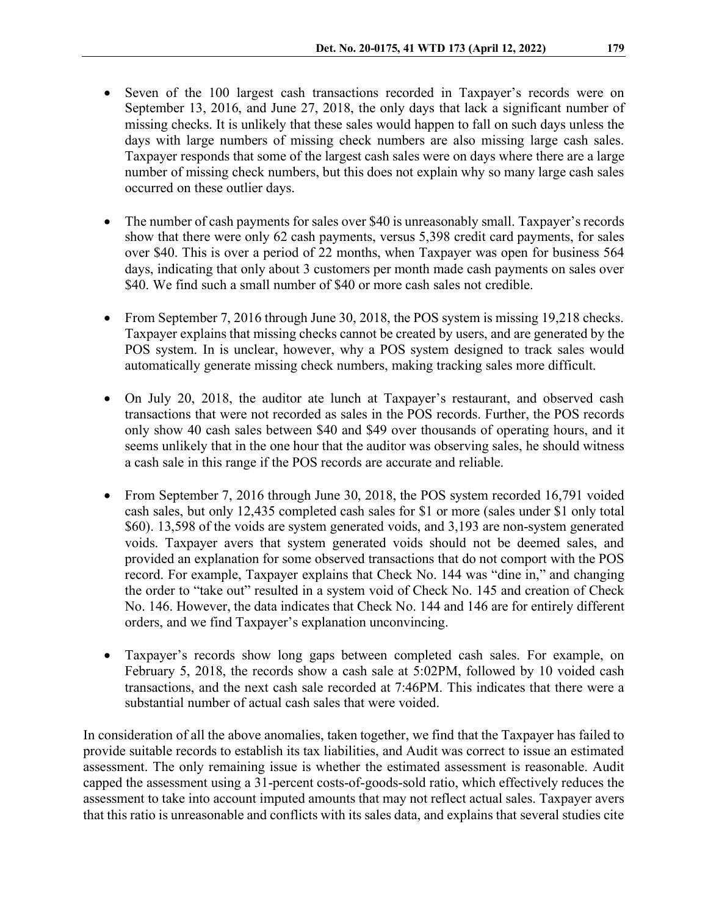- Seven of the 100 largest cash transactions recorded in Taxpayer's records were on September 13, 2016, and June 27, 2018, the only days that lack a significant number of missing checks. It is unlikely that these sales would happen to fall on such days unless the days with large numbers of missing check numbers are also missing large cash sales. Taxpayer responds that some of the largest cash sales were on days where there are a large number of missing check numbers, but this does not explain why so many large cash sales occurred on these outlier days.
- The number of cash payments for sales over \$40 is unreasonably small. Taxpayer's records show that there were only 62 cash payments, versus 5,398 credit card payments, for sales over \$40. This is over a period of 22 months, when Taxpayer was open for business 564 days, indicating that only about 3 customers per month made cash payments on sales over \$40. We find such a small number of \$40 or more cash sales not credible.
- From September 7, 2016 through June 30, 2018, the POS system is missing 19,218 checks. Taxpayer explains that missing checks cannot be created by users, and are generated by the POS system. In is unclear, however, why a POS system designed to track sales would automatically generate missing check numbers, making tracking sales more difficult.
- On July 20, 2018, the auditor ate lunch at Taxpayer's restaurant, and observed cash transactions that were not recorded as sales in the POS records. Further, the POS records only show 40 cash sales between \$40 and \$49 over thousands of operating hours, and it seems unlikely that in the one hour that the auditor was observing sales, he should witness a cash sale in this range if the POS records are accurate and reliable.
- From September 7, 2016 through June 30, 2018, the POS system recorded 16,791 voided cash sales, but only 12,435 completed cash sales for \$1 or more (sales under \$1 only total \$60). 13,598 of the voids are system generated voids, and 3,193 are non-system generated voids. Taxpayer avers that system generated voids should not be deemed sales, and provided an explanation for some observed transactions that do not comport with the POS record. For example, Taxpayer explains that Check No. 144 was "dine in," and changing the order to "take out" resulted in a system void of Check No. 145 and creation of Check No. 146. However, the data indicates that Check No. 144 and 146 are for entirely different orders, and we find Taxpayer's explanation unconvincing.
- Taxpayer's records show long gaps between completed cash sales. For example, on February 5, 2018, the records show a cash sale at 5:02PM, followed by 10 voided cash transactions, and the next cash sale recorded at 7:46PM. This indicates that there were a substantial number of actual cash sales that were voided.

In consideration of all the above anomalies, taken together, we find that the Taxpayer has failed to provide suitable records to establish its tax liabilities, and Audit was correct to issue an estimated assessment. The only remaining issue is whether the estimated assessment is reasonable. Audit capped the assessment using a 31-percent costs-of-goods-sold ratio, which effectively reduces the assessment to take into account imputed amounts that may not reflect actual sales. Taxpayer avers that this ratio is unreasonable and conflicts with its sales data, and explains that several studies cite